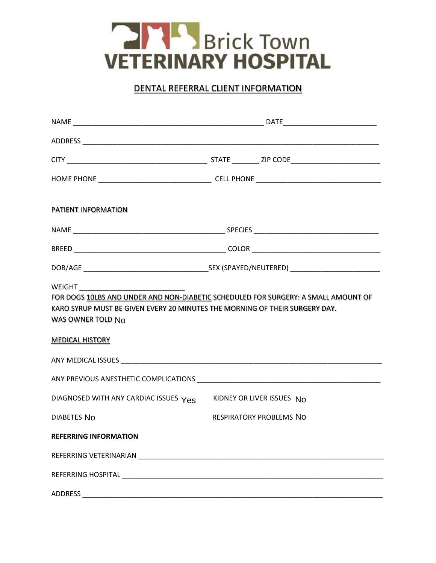

## DENTAL REFERRAL CLIENT INFORMATION

| <b>PATIENT INFORMATION</b>                                                                                                                                                                                                     |                                |
|--------------------------------------------------------------------------------------------------------------------------------------------------------------------------------------------------------------------------------|--------------------------------|
|                                                                                                                                                                                                                                |                                |
|                                                                                                                                                                                                                                |                                |
|                                                                                                                                                                                                                                |                                |
| FOR DOGS 10LBS AND UNDER AND NON-DIABETIC SCHEDULED FOR SURGERY: A SMALL AMOUNT OF<br>KARO SYRUP MUST BE GIVEN EVERY 20 MINUTES THE MORNING OF THEIR SURGERY DAY.<br>WAS OWNER TOLD No<br><b>MEDICAL HISTORY</b>               |                                |
|                                                                                                                                                                                                                                |                                |
| DIAGNOSED WITH ANY CARDIAC ISSUES Yes                                                                                                                                                                                          | KIDNEY OR LIVER ISSUES No      |
| DIABETES NO                                                                                                                                                                                                                    | <b>RESPIRATORY PROBLEMS NO</b> |
| <b>REFERRING INFORMATION</b>                                                                                                                                                                                                   |                                |
| REFERRING VETERINARIAN NEWSFILM AND THE CONTROL CONTROL CONTROL CONTROL CONTROL CONTROL CONTROL CONTROL CONTROL CONTROL CONTROL CONTROL CONTROL CONTROL CONTROL CONTROL CONTROL CONTROL CONTROL CONTROL CONTROL CONTROL CONTRO |                                |
|                                                                                                                                                                                                                                |                                |
| <b>ADDRESS</b>                                                                                                                                                                                                                 |                                |